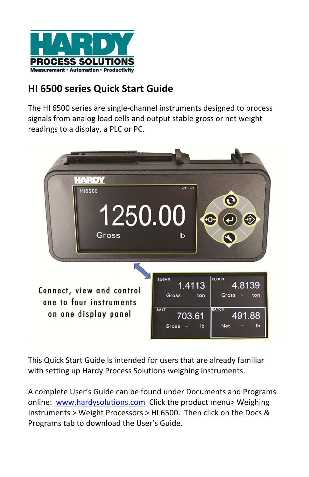

# **HI 6500 series Quick Start Guide**

The HI 6500 series are single‐channel instruments designed to process signals from analog load cells and output stable gross or net weight readings to a display, a PLC or PC.



This Quick Start Guide is intended for users that are already familiar with setting up Hardy Process Solutions weighing instruments.

A complete User's Guide can be found under Documents and Programs online: www.hardysolutions.com Click the product menu> Weighing Instruments > Weight Processors > HI 6500. Then click on the Docs & Programs tab to download the User's Guide.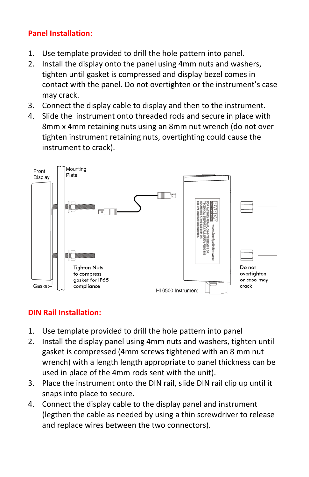# **Panel Installation:**

- 1. Use template provided to drill the hole pattern into panel.
- 2. Install the display onto the panel using 4mm nuts and washers, tighten until gasket is compressed and display bezel comes in contact with the panel. Do not overtighten or the instrument's case may crack.
- 3. Connect the display cable to display and then to the instrument.
- 4. Slide the instrument onto threaded rods and secure in place with 8mm x 4mm retaining nuts using an 8mm nut wrench (do not over tighten instrument retaining nuts, overtighting could cause the instrument to crack).



#### **DIN Rail Installation:**

- 1. Use template provided to drill the hole pattern into panel
- 2. Install the display panel using 4mm nuts and washers, tighten until gasket is compressed (4mm screws tightened with an 8 mm nut wrench) with a length length appropriate to panel thickness can be used in place of the 4mm rods sent with the unit).
- 3. Place the instrument onto the DIN rail, slide DIN rail clip up until it snaps into place to secure.
- 4. Connect the display cable to the display panel and instrument (legthen the cable as needed by using a thin screwdriver to release and replace wires between the two connectors).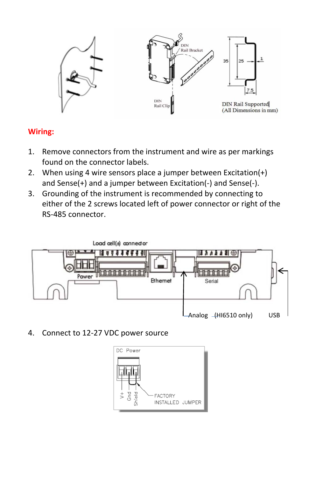

#### **Wiring:**

- 1. Remove connectors from the instrument and wire as per markings found on the connector labels.
- 2. When using 4 wire sensors place a jumper between Excitation(+) and Sense(+) and a jumper between Excitation(‐) and Sense(‐).
- 3. Grounding of the instrument is recommended by connecting to either of the 2 screws located left of power connector or right of the RS‐485 connector.



4. Connect to 12‐27 VDC power source

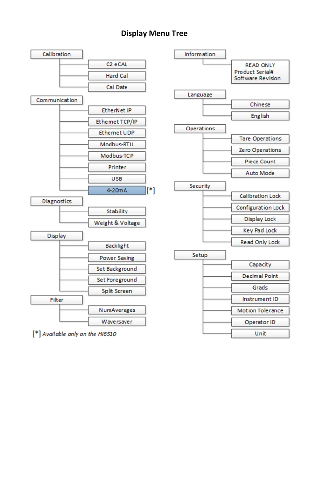#### **Display Menu Tree**

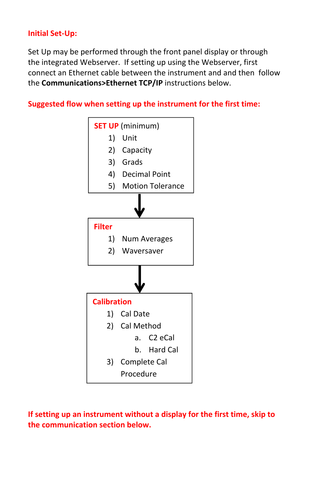#### **Initial Set‐Up:**

Set Up may be performed through the front panel display or through the integrated Webserver. If setting up using the Webserver, first connect an Ethernet cable between the instrument and and then follow the **Communications>Ethernet TCP/IP** instructions below.

**Suggested flow when setting up the instrument for the first time:**



**If setting up an instrument without a display for the first time, skip to the communication section below.**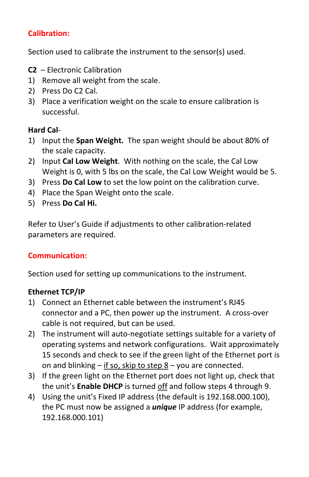## **Calibration:**

Section used to calibrate the instrument to the sensor(s) used.

- **C2** Electronic Calibration
- 1) Remove all weight from the scale.
- 2) Press Do C2 Cal.
- 3) Place a verification weight on the scale to ensure calibration is successful.

#### **Hard Cal**‐

- 1) Input the **Span Weight.** The span weight should be about 80% of the scale capacity.
- 2) Input **Cal Low Weight**. With nothing on the scale, the Cal Low Weight is 0, with 5 lbs on the scale, the Cal Low Weight would be 5.
- 3) Press **Do Cal Low** to set the low point on the calibration curve.
- 4) Place the Span Weight onto the scale.
- 5) Press **Do Cal Hi.**

Refer to User's Guide if adjustments to other calibration‐related parameters are required.

# **Communication:**

Section used for setting up communications to the instrument.

#### **Ethernet TCP/IP**

- 1) Connect an Ethernet cable between the instrument's RJ45 connector and a PC, then power up the instrument. A cross‐over cable is not required, but can be used.
- 2) The instrument will auto-negotiate settings suitable for a variety of operating systems and network configurations. Wait approximately 15 seconds and check to see if the green light of the Ethernet port is on and blinking – if so, skip to step 8 – you are connected.
- 3) If the green light on the Ethernet port does not light up, check that the unit's **Enable DHCP** is turned off and follow steps 4 through 9.
- 4) Using the unit's Fixed IP address (the default is 192.168.000.100), the PC must now be assigned a *unique* IP address (for example, 192.168.000.101)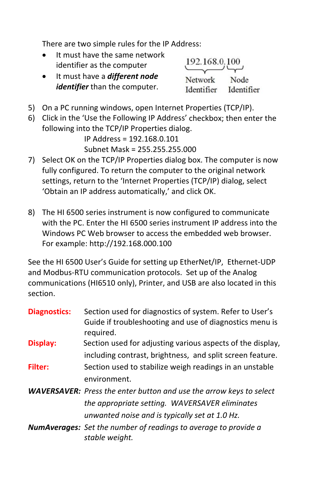There are two simple rules for the IP Address:

- It must have the same network identifier as the computer
- It must have a *different node identifier* than the computer.

192.168.0.100 Node Network Identifier Identifier

- 5) On a PC running windows, open Internet Properties (TCP/IP).
- 6) Click in the 'Use the Following IP Address' checkbox; then enter the following into the TCP/IP Properties dialog.

IP Address = 192.168.0.101 Subnet Mask = 255.255.255.000

- 7) Select OK on the TCP/IP Properties dialog box. The computer is now fully configured. To return the computer to the original network settings, return to the 'Internet Properties (TCP/IP) dialog, select 'Obtain an IP address automatically,' and click OK.
- 8) The HI 6500 series instrument is now configured to communicate with the PC. Enter the HI 6500 series instrument IP address into the Windows PC Web browser to access the embedded web browser. For example: http://192.168.000.100

See the HI 6500 User's Guide for setting up EtherNet/IP, Ethernet‐UDP and Modbus‐RTU communication protocols. Set up of the Analog communications (HI6510 only), Printer, and USB are also located in this section.

| <b>Diagnostics:</b> | Section used for diagnostics of system. Refer to User's<br>Guide if troubleshooting and use of diagnostics menu is<br>required. |
|---------------------|---------------------------------------------------------------------------------------------------------------------------------|
| Display:            | Section used for adjusting various aspects of the display,                                                                      |
|                     | including contrast, brightness, and split screen feature.                                                                       |
| <b>Filter:</b>      | Section used to stabilize weigh readings in an unstable                                                                         |
|                     | environment.                                                                                                                    |
|                     | <b>WAVERSAVER:</b> Press the enter button and use the arrow keys to select                                                      |
|                     | the appropriate setting. WAVERSAVER eliminates                                                                                  |
|                     | unwanted noise and is typically set at 1.0 Hz.                                                                                  |
|                     | <b>NumAverages:</b> Set the number of readings to average to provide a<br>stable weight.                                        |